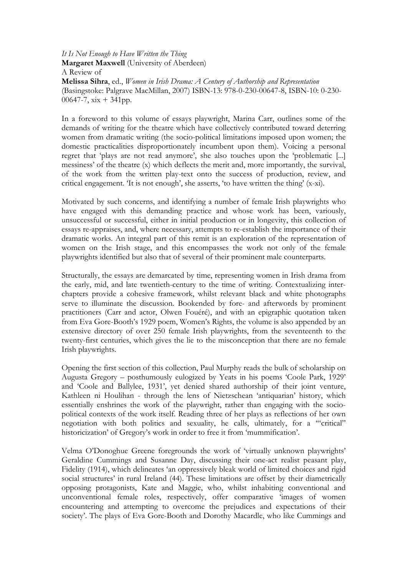It Is Not Enough to Have Written the Thing Margaret Maxwell (University of Aberdeen) A Review of Melissa Sihra, ed., Women in Irish Drama: A Century of Authorship and Representation (Basingstoke: Palgrave MacMillan, 2007) ISBN-13: 978-0-230-00647-8, ISBN-10: 0-230- 00647-7,  $xix + 341pp$ .

In a foreword to this volume of essays playwright, Marina Carr, outlines some of the demands of writing for the theatre which have collectively contributed toward deterring women from dramatic writing (the socio-political limitations imposed upon women; the domestic practicalities disproportionately incumbent upon them). Voicing a personal regret that 'plays are not read anymore', she also touches upon the 'problematic [...] messiness' of the theatre (x) which deflects the merit and, more importantly, the survival, of the work from the written play-text onto the success of production, review, and critical engagement. 'It is not enough', she asserts, 'to have written the thing' (x-xi).

Motivated by such concerns, and identifying a number of female Irish playwrights who have engaged with this demanding practice and whose work has been, variously, unsuccessful or successful, either in initial production or in longevity, this collection of essays re-appraises, and, where necessary, attempts to re-establish the importance of their dramatic works. An integral part of this remit is an exploration of the representation of women on the Irish stage, and this encompasses the work not only of the female playwrights identified but also that of several of their prominent male counterparts.

Structurally, the essays are demarcated by time, representing women in Irish drama from the early, mid, and late twentieth-century to the time of writing. Contextualizing interchapters provide a cohesive framework, whilst relevant black and white photographs serve to illuminate the discussion. Bookended by fore- and afterwords by prominent practitioners (Carr and actor, Olwen Fouéré), and with an epigraphic quotation taken from Eva Gore-Booth's 1929 poem, Women's Rights, the volume is also appended by an extensive directory of over 250 female Irish playwrights, from the seventeenth to the twenty-first centuries, which gives the lie to the misconception that there are no female Irish playwrights.

Opening the first section of this collection, Paul Murphy reads the bulk of scholarship on Augusta Gregory – posthumously eulogized by Yeats in his poems 'Coole Park, 1929' and 'Coole and Ballylee, 1931', yet denied shared authorship of their joint venture, Kathleen ni Houlihan - through the lens of Nietzschean 'antiquarian' history, which essentially enshrines the work of the playwright, rather than engaging with the sociopolitical contexts of the work itself. Reading three of her plays as reflections of her own negotiation with both politics and sexuality, he calls, ultimately, for a '"critical" historicization' of Gregory's work in order to free it from 'mummification'.

Velma O'Donoghue Greene foregrounds the work of 'virtually unknown playwrights' Geraldine Cummings and Susanne Day, discussing their one-act realist peasant play, Fidelity (1914), which delineates 'an oppressively bleak world of limited choices and rigid social structures' in rural Ireland (44). These limitations are offset by their diametrically opposing protagonists, Kate and Maggie, who, whilst inhabiting conventional and unconventional female roles, respectively, offer comparative 'images of women encountering and attempting to overcome the prejudices and expectations of their society'. The plays of Eva Gore-Booth and Dorothy Macardle, who like Cummings and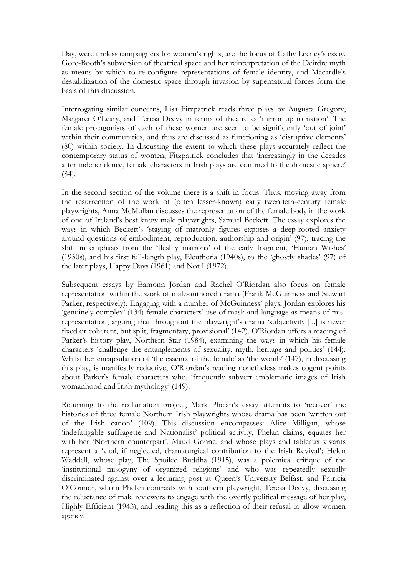Day, were tireless campaigners for women's rights, are the focus of Cathy Leeney's essay. Gore-Booth's subversion of theatrical space and her reinterpretation of the Deirdre myth as means by which to re-configure representations of female identity, and Macardle's destabilization of the domestic space through invasion by supernatural forces form the basis of this discussion.

Interrogating similar concerns, Lisa Fitzpatrick reads three plays by Augusta Gregory, Margaret O'Leary, and Teresa Deevy in terms of theatre as 'mirror up to nation'. The female protagonists of each of these women are seen to be significantly 'out of joint' within their communities, and thus are discussed as functioning as 'disruptive elements' (80) within society. In discussing the extent to which these plays accurately reflect the contemporary status of women, Fitzpatrick concludes that 'increasingly in the decades after independence, female characters in Irish plays are confined to the domestic sphere' (84).

In the second section of the volume there is a shift in focus. Thus, moving away from the resurrection of the work of (often lesser-known) early twentieth-century female playwrights, Anna McMullan discusses the representation of the female body in the work of one of Ireland's best know male playwrights, Samuel Beckett. The essay explores the ways in which Beckett's 'staging of matronly figures exposes a deep-rooted anxiety around questions of embodiment, reproduction, authorship and origin' (97), tracing the shift in emphasis from the 'fleshly matrons' of the early fragment, 'Human Wishes' (1930s), and his first full-length play, Eleutheria (1940s), to the 'ghostly shades' (97) of the later plays, Happy Days (1961) and Not I (1972).

Subsequent essays by Eamonn Jordan and Rachel O'Riordan also focus on female representation within the work of male-authored drama (Frank McGuinness and Stewart Parker, respectively). Engaging with a number of McGuinness' plays, Jordan explores his 'genuinely complex' (134) female characters' use of mask and language as means of misrepresentation, arguing that throughout the playwright's drama 'subjectivity [...] is never fixed or coherent, but split, fragmentary, provisional' (142). O'Riordan offers a reading of Parker's history play, Northern Star (1984), examining the ways in which his female characters 'challenge the entanglements of sexuality, myth, heritage and politics' (144). Whilst her encapsulation of 'the essence of the female' as 'the womb' (147), in discussing this play, is manifestly reductive, O'Riordan's reading nonetheless makes cogent points about Parker's female characters who, 'frequently subvert emblematic images of Irish womanhood and Irish mythology' (149).

Returning to the reclamation project, Mark Phelan's essay attempts to 'recover' the histories of three female Northern Irish playwrights whose drama has been 'written out of the Irish canon' (109). This discussion encompasses: Alice Milligan, whose 'indefatigable suffragette and Nationalist' political activity, Phelan claims, equates her with her 'Northern counterpart', Maud Gonne, and whose plays and tableaux vivants represent a 'vital, if neglected, dramaturgical contribution to the Irish Revival'; Helen Waddell, whose play, The Spoiled Buddha (1915), was a polemical critique of the 'institutional misogyny of organized religions' and who was repeatedly sexually discriminated against over a lecturing post at Queen's University Belfast; and Patricia O'Connor, whom Phelan contrasts with southern playwright, Teresa Deevy, discussing the reluctance of male reviewers to engage with the overtly political message of her play, Highly Efficient (1943), and reading this as a reflection of their refusal to allow women agency.